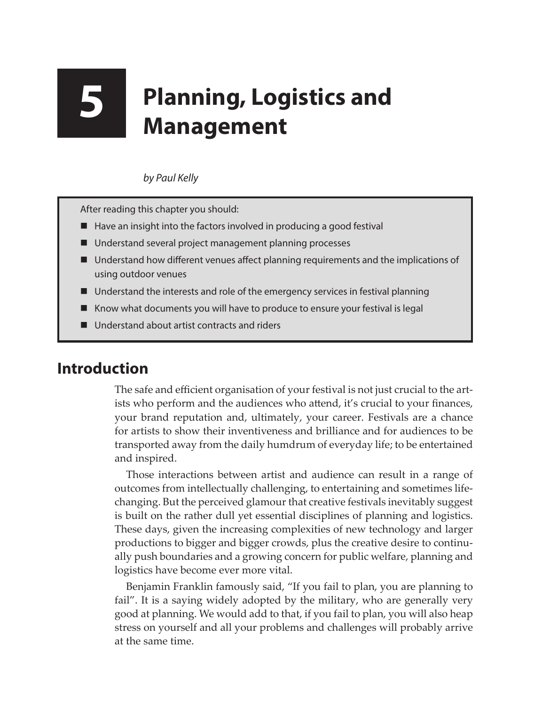# **5 Planning, Logistics and Management**

### *by Paul Kelly*

After reading this chapter you should:

- Have an insight into the factors involved in producing a good festival
- Understand several project management planning processes
- Understand how different venues affect planning requirements and the implications of using outdoor venues
- Understand the interests and role of the emergency services in festival planning
- Know what documents you will have to produce to ensure your festival is legal
- Understand about artist contracts and riders

## **Introduction**

The safe and efficient organisation of your festival is not just crucial to the artists who perform and the audiences who attend, it's crucial to your finances, your brand reputation and, ultimately, your career. Festivals are a chance for artists to show their inventiveness and brilliance and for audiences to be transported away from the daily humdrum of everyday life; to be entertained and inspired.

Those interactions between artist and audience can result in a range of outcomes from intellectually challenging, to entertaining and sometimes lifechanging. But the perceived glamour that creative festivals inevitably suggest is built on the rather dull yet essential disciplines of planning and logistics. These days, given the increasing complexities of new technology and larger productions to bigger and bigger crowds, plus the creative desire to continually push boundaries and a growing concern for public welfare, planning and logistics have become ever more vital.

Benjamin Franklin famously said, "If you fail to plan, you are planning to fail". It is a saying widely adopted by the military, who are generally very good at planning. We would add to that, if you fail to plan, you will also heap stress on yourself and all your problems and challenges will probably arrive at the same time.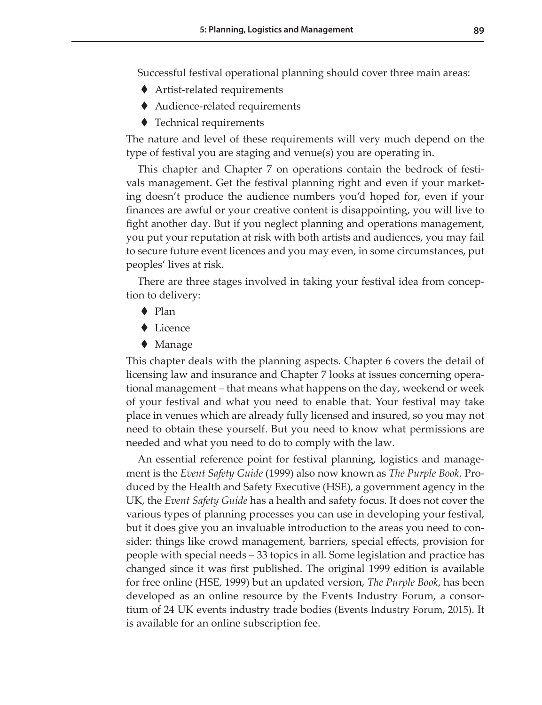Successful festival operational planning should cover three main areas:

- Artist-related requirements
- Audience-related requirements
- ◆ Technical requirements

The nature and level of these requirements will very much depend on the type of festival you are staging and venue(s) you are operating in.

This chapter and Chapter 7 on operations contain the bedrock of festivals management. Get the festival planning right and even if your marketing doesn't produce the audience numbers you'd hoped for, even if your finances are awful or your creative content is disappointing, you will live to fight another day. But if you neglect planning and operations management, you put your reputation at risk with both artists and audiences, you may fail to secure future event licences and you may even, in some circumstances, put peoples' lives at risk.

There are three stages involved in taking your festival idea from conception to delivery:

- ◆ Plan
- ◆ Licence
- $\blacklozenge$  Manage

This chapter deals with the planning aspects. Chapter 6 covers the detail of licensing law and insurance and Chapter 7 looks at issues concerning operational management – that means what happens on the day, weekend or week of your festival and what you need to enable that. Your festival may take place in venues which are already fully licensed and insured, so you may not need to obtain these yourself. But you need to know what permissions are needed and what you need to do to comply with the law.

An essential reference point for festival planning, logistics and management is the *Event Safety Guide* (1999) also now known as *The Purple Book*. Produced by the Health and Safety Executive (HSE), a government agency in the UK, the *Event Safety Guide* has a health and safety focus. It does not cover the various types of planning processes you can use in developing your festival, but it does give you an invaluable introduction to the areas you need to consider: things like crowd management, barriers, special effects, provision for people with special needs – 33 topics in all. Some legislation and practice has changed since it was first published. The original 1999 edition is available for free online (HSE, 1999) but an updated version, *The Purple Book*, has been developed as an online resource by the Events Industry Forum, a consortium of 24 UK events industry trade bodies (Events Industry Forum, 2015). It is available for an online subscription fee.